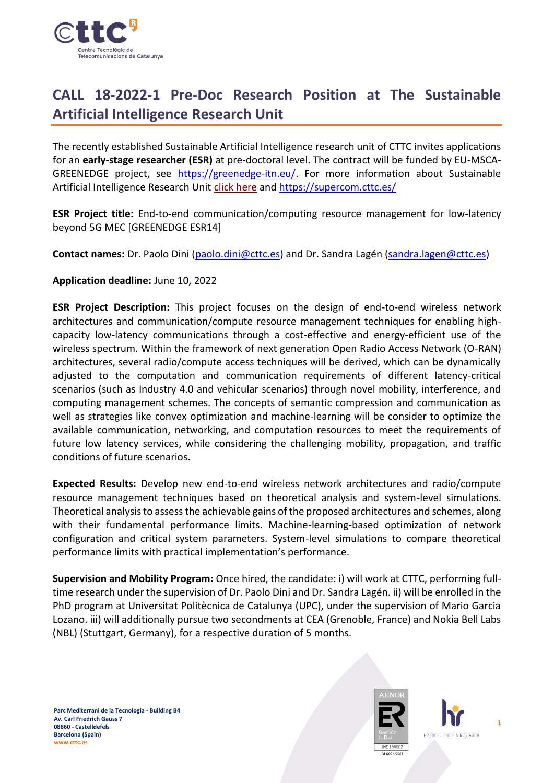

# **CALL 18-2022-1 Pre-Doc Research Position at The Sustainable Artificial Intelligence Research Unit**

The recently established Sustainable Artificial Intelligence research unit of CTTC invites applications for an **early-stage researcher (ESR)** at pre-doctoral level. The contract will be funded by EU-MSCA-GREENEDGE project, see [https://greenedge-itn.eu/.](https://greenedge-itn.eu/) For more information about Sustainable Artificial Intelligence Research Unit [click here](https://www.cttc.cat/sustainable-artificial-intelligence-sai/) and<https://supercom.cttc.es/>

**ESR Project title:** End-to-end communication/computing resource management for low-latency beyond 5G MEC [GREENEDGE ESR14]

Contact names: Dr. Paolo Dini [\(paolo.dini@cttc.es\)](mailto:paolo.dini@cttc.es) and Dr. Sandra Lagén [\(sandra.lagen@cttc.es\)](mailto:sandra.lagen@cttc.es)

## **Application deadline:** June 10, 2022

**ESR Project Description:** This project focuses on the design of end-to-end wireless network architectures and communication/compute resource management techniques for enabling highcapacity low-latency communications through a cost-effective and energy-efficient use of the wireless spectrum. Within the framework of next generation Open Radio Access Network (O-RAN) architectures, several radio/compute access techniques will be derived, which can be dynamically adjusted to the computation and communication requirements of different latency-critical scenarios (such as Industry 4.0 and vehicular scenarios) through novel mobility, interference, and computing management schemes. The concepts of semantic compression and communication as well as strategies like convex optimization and machine-learning will be consider to optimize the available communication, networking, and computation resources to meet the requirements of future low latency services, while considering the challenging mobility, propagation, and traffic conditions of future scenarios.

**Expected Results:** Develop new end-to-end wireless network architectures and radio/compute resource management techniques based on theoretical analysis and system-level simulations. Theoretical analysis to assessthe achievable gains of the proposed architectures and schemes, along with their fundamental performance limits. Machine-learning-based optimization of network configuration and critical system parameters. System-level simulations to compare theoretical performance limits with practical implementation's performance.

**Supervision and Mobility Program:** Once hired, the candidate: i) will work at CTTC, performing fulltime research under the supervision of Dr. Paolo Dini and Dr. Sandra Lagén. ii) will be enrolled in the PhD program at Universitat Politècnica de Catalunya (UPC), under the supervision of Mario Garcia Lozano. iii) will additionally pursue two secondments at CEA (Grenoble, France) and Nokia Bell Labs (NBL) (Stuttgart, Germany), for a respective duration of 5 months.



**1**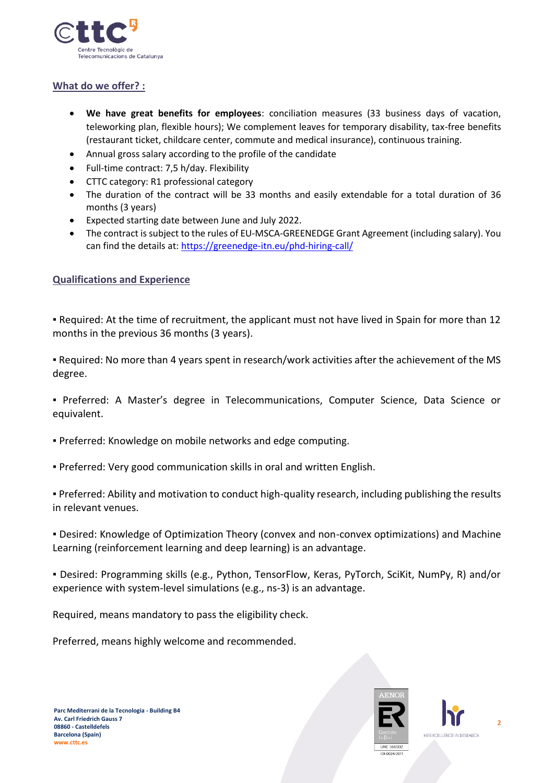

## **What do we offer? :**

- **We have great benefits for employees**: conciliation measures (33 business days of vacation, teleworking plan, flexible hours); We complement leaves for temporary disability, tax-free benefits (restaurant ticket, childcare center, commute and medical insurance), continuous training.
- Annual gross salary according to the profile of the candidate
- Full-time contract: 7,5 h/day. Flexibility
- CTTC category: R1 professional category
- The duration of the contract will be 33 months and easily extendable for a total duration of 36 months (3 years)
- Expected starting date between June and July 2022.
- The contract is subject to the rules of EU-MSCA-GREENEDGE Grant Agreement (including salary). You can find the details at[: https://greenedge-itn.eu/phd-hiring-call/](https://greenedge-itn.eu/phd-hiring-call/)

## **Qualifications and Experience**

▪ Required: At the time of recruitment, the applicant must not have lived in Spain for more than 12 months in the previous 36 months (3 years).

▪ Required: No more than 4 years spent in research/work activities after the achievement of the MS degree.

▪ Preferred: A Master's degree in Telecommunications, Computer Science, Data Science or equivalent.

- Preferred: Knowledge on mobile networks and edge computing.
- Preferred: Very good communication skills in oral and written English.

▪ Preferred: Ability and motivation to conduct high-quality research, including publishing the results in relevant venues.

▪ Desired: Knowledge of Optimization Theory (convex and non-convex optimizations) and Machine Learning (reinforcement learning and deep learning) is an advantage.

▪ Desired: Programming skills (e.g., Python, TensorFlow, Keras, PyTorch, SciKit, NumPy, R) and/or experience with system-level simulations (e.g., ns-3) is an advantage.

Required, means mandatory to pass the eligibility check.

Preferred, means highly welcome and recommended.



**2**